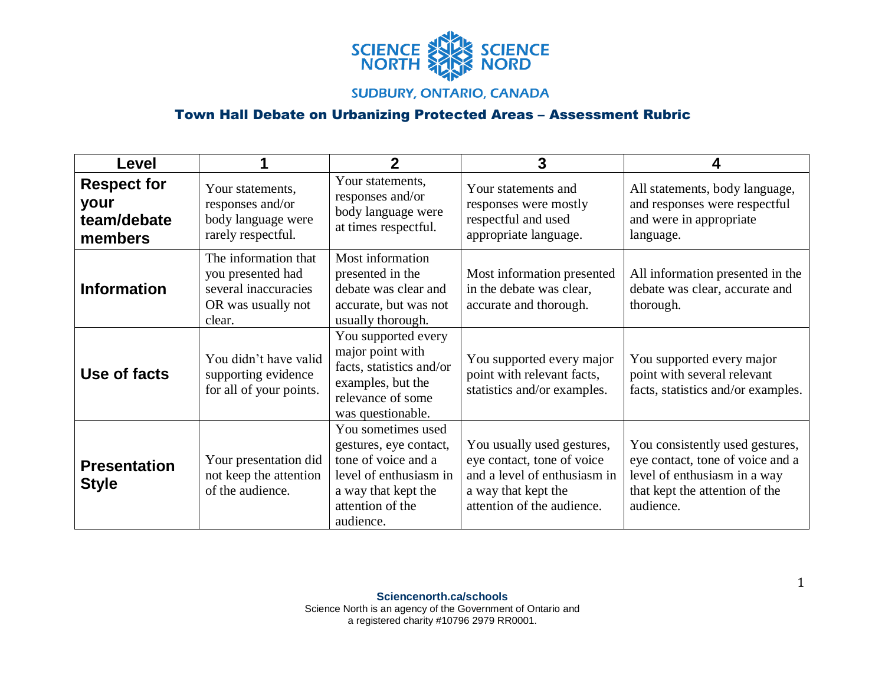

## **SUDBURY, ONTARIO, CANADA**

## Town Hall Debate on Urbanizing Protected Areas – Assessment Rubric

| <b>Level</b>                                         |                                                                                                   | $\mathbf 2$                                                                                                                                           | 3                                                                                                                                             | Д                                                                                                                                                  |
|------------------------------------------------------|---------------------------------------------------------------------------------------------------|-------------------------------------------------------------------------------------------------------------------------------------------------------|-----------------------------------------------------------------------------------------------------------------------------------------------|----------------------------------------------------------------------------------------------------------------------------------------------------|
| <b>Respect for</b><br>your<br>team/debate<br>members | Your statements,<br>responses and/or<br>body language were<br>rarely respectful.                  | Your statements,<br>responses and/or<br>body language were<br>at times respectful.                                                                    | Your statements and<br>responses were mostly<br>respectful and used<br>appropriate language.                                                  | All statements, body language,<br>and responses were respectful<br>and were in appropriate<br>language.                                            |
| <b>Information</b>                                   | The information that<br>you presented had<br>several inaccuracies<br>OR was usually not<br>clear. | Most information<br>presented in the<br>debate was clear and<br>accurate, but was not<br>usually thorough.                                            | Most information presented<br>in the debate was clear,<br>accurate and thorough.                                                              | All information presented in the<br>debate was clear, accurate and<br>thorough.                                                                    |
| Use of facts                                         | You didn't have valid<br>supporting evidence<br>for all of your points.                           | You supported every<br>major point with<br>facts, statistics and/or<br>examples, but the<br>relevance of some<br>was questionable.                    | You supported every major<br>point with relevant facts,<br>statistics and/or examples.                                                        | You supported every major<br>point with several relevant<br>facts, statistics and/or examples.                                                     |
| <b>Presentation</b><br><b>Style</b>                  | Your presentation did<br>not keep the attention<br>of the audience.                               | You sometimes used<br>gestures, eye contact,<br>tone of voice and a<br>level of enthusiasm in<br>a way that kept the<br>attention of the<br>audience. | You usually used gestures,<br>eye contact, tone of voice<br>and a level of enthusiasm in<br>a way that kept the<br>attention of the audience. | You consistently used gestures,<br>eye contact, tone of voice and a<br>level of enthusiasm in a way<br>that kept the attention of the<br>audience. |